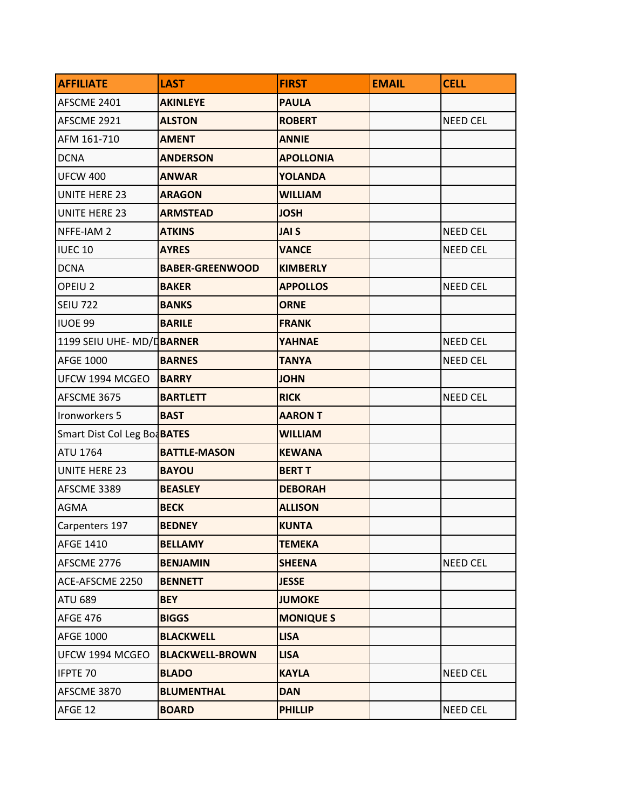| <b>AFFILIATE</b>            | <b>LAST</b>            | <b>FIRST</b>     | <b>EMAIL</b> | <b>CELL</b>     |
|-----------------------------|------------------------|------------------|--------------|-----------------|
| AFSCME 2401                 | <b>AKINLEYE</b>        | <b>PAULA</b>     |              |                 |
| AFSCME 2921                 | <b>ALSTON</b>          | <b>ROBERT</b>    |              | <b>NEED CEL</b> |
| AFM 161-710                 | <b>AMENT</b>           | <b>ANNIE</b>     |              |                 |
| <b>DCNA</b>                 | <b>ANDERSON</b>        | <b>APOLLONIA</b> |              |                 |
| <b>UFCW 400</b>             | <b>ANWAR</b>           | <b>YOLANDA</b>   |              |                 |
| <b>UNITE HERE 23</b>        | <b>ARAGON</b>          | <b>WILLIAM</b>   |              |                 |
| <b>UNITE HERE 23</b>        | <b>ARMSTEAD</b>        | <b>JOSH</b>      |              |                 |
| NFFE-IAM 2                  | <b>ATKINS</b>          | <b>JAI S</b>     |              | <b>NEED CEL</b> |
| <b>IUEC 10</b>              | <b>AYRES</b>           | <b>VANCE</b>     |              | <b>NEED CEL</b> |
| <b>DCNA</b>                 | <b>BABER-GREENWOOD</b> | <b>KIMBERLY</b>  |              |                 |
| OPEIU <sub>2</sub>          | <b>BAKER</b>           | <b>APPOLLOS</b>  |              | <b>NEED CEL</b> |
| <b>SEIU 722</b>             | <b>BANKS</b>           | <b>ORNE</b>      |              |                 |
| <b>IUOE 99</b>              | <b>BARILE</b>          | <b>FRANK</b>     |              |                 |
| 1199 SEIU UHE-MD/DBARNER    |                        | <b>YAHNAE</b>    |              | <b>NEED CEL</b> |
| <b>AFGE 1000</b>            | <b>BARNES</b>          | <b>TANYA</b>     |              | <b>NEED CEL</b> |
| UFCW 1994 MCGEO             | <b>BARRY</b>           | <b>JOHN</b>      |              |                 |
| AFSCME 3675                 | <b>BARTLETT</b>        | <b>RICK</b>      |              | <b>NEED CEL</b> |
| Ironworkers 5               | <b>BAST</b>            | <b>AARON T</b>   |              |                 |
| Smart Dist Col Leg BoaBATES |                        | <b>WILLIAM</b>   |              |                 |
| <b>ATU 1764</b>             | <b>BATTLE-MASON</b>    | <b>KEWANA</b>    |              |                 |
| <b>UNITE HERE 23</b>        | <b>BAYOU</b>           | <b>BERT T</b>    |              |                 |
| AFSCME 3389                 | <b>BEASLEY</b>         | <b>DEBORAH</b>   |              |                 |
| AGMA                        | <b>BECK</b>            | <b>ALLISON</b>   |              |                 |
| Carpenters 197              | <b>BEDNEY</b>          | <b>KUNTA</b>     |              |                 |
| <b>AFGE 1410</b>            | <b>BELLAMY</b>         | <b>TEMEKA</b>    |              |                 |
| AFSCME 2776                 | <b>BENJAMIN</b>        | <b>SHEENA</b>    |              | <b>NEED CEL</b> |
| ACE-AFSCME 2250             | <b>BENNETT</b>         | <b>JESSE</b>     |              |                 |
| <b>ATU 689</b>              | <b>BEY</b>             | <b>JUMOKE</b>    |              |                 |
| <b>AFGE 476</b>             | <b>BIGGS</b>           | <b>MONIQUE S</b> |              |                 |
| <b>AFGE 1000</b>            | <b>BLACKWELL</b>       | <b>LISA</b>      |              |                 |
| UFCW 1994 MCGEO             | <b>BLACKWELL-BROWN</b> | <b>LISA</b>      |              |                 |
| IFPTE 70                    | <b>BLADO</b>           | <b>KAYLA</b>     |              | <b>NEED CEL</b> |
| AFSCME 3870                 | <b>BLUMENTHAL</b>      | <b>DAN</b>       |              |                 |
| AFGE 12                     | <b>BOARD</b>           | <b>PHILLIP</b>   |              | NEED CEL        |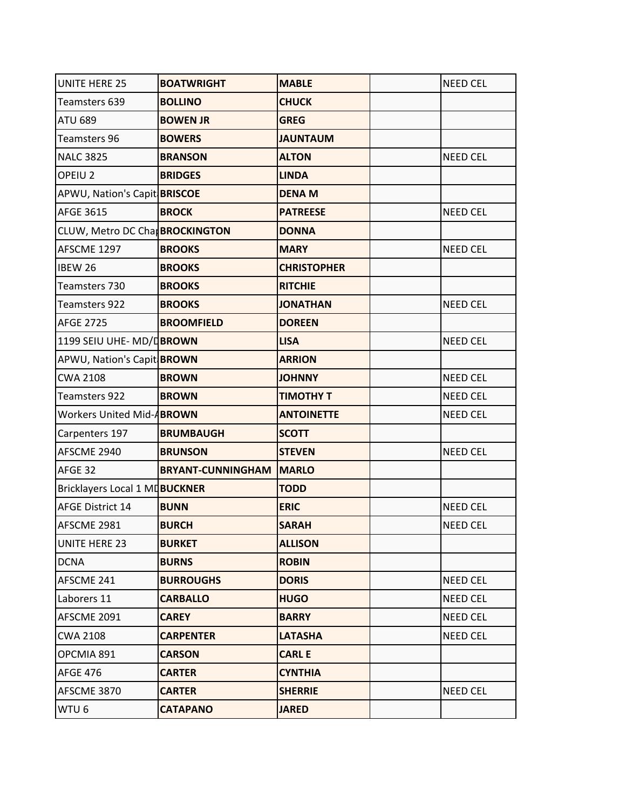| <b>UNITE HERE 25</b>           | <b>BOATWRIGHT</b>              | <b>MABLE</b>       | <b>NEED CEL</b> |
|--------------------------------|--------------------------------|--------------------|-----------------|
| Teamsters 639                  | <b>BOLLINO</b>                 | <b>CHUCK</b>       |                 |
| <b>ATU 689</b>                 | <b>BOWEN JR</b>                | <b>GREG</b>        |                 |
| Teamsters 96                   | <b>BOWERS</b>                  | <b>JAUNTAUM</b>    |                 |
| <b>NALC 3825</b>               | <b>BRANSON</b>                 | <b>ALTON</b>       | <b>NEED CEL</b> |
| OPEIU <sub>2</sub>             | <b>BRIDGES</b>                 | <b>LINDA</b>       |                 |
| APWU, Nation's Capit BRISCOE   |                                | <b>DENA M</b>      |                 |
| <b>AFGE 3615</b>               | <b>BROCK</b>                   | <b>PATREESE</b>    | <b>NEED CEL</b> |
| CLUW, Metro DC Cha BROCKINGTON |                                | <b>DONNA</b>       |                 |
| AFSCME 1297                    | <b>BROOKS</b>                  | <b>MARY</b>        | <b>NEED CEL</b> |
| <b>IBEW 26</b>                 | <b>BROOKS</b>                  | <b>CHRISTOPHER</b> |                 |
| Teamsters 730                  | <b>BROOKS</b>                  | <b>RITCHIE</b>     |                 |
| Teamsters 922                  | <b>BROOKS</b>                  | <b>JONATHAN</b>    | <b>NEED CEL</b> |
| <b>AFGE 2725</b>               | <b>BROOMFIELD</b>              | <b>DOREEN</b>      |                 |
| 1199 SEIU UHE-MD/DBROWN        |                                | <b>LISA</b>        | <b>NEED CEL</b> |
| APWU, Nation's Capit BROWN     |                                | <b>ARRION</b>      |                 |
| <b>CWA 2108</b>                | <b>BROWN</b>                   | <b>JOHNNY</b>      | <b>NEED CEL</b> |
| Teamsters 922                  | <b>BROWN</b>                   | <b>TIMOTHY T</b>   | <b>NEED CEL</b> |
| Workers United Mid-ABROWN      |                                | <b>ANTOINETTE</b>  | <b>NEED CEL</b> |
| Carpenters 197                 | <b>BRUMBAUGH</b>               | <b>SCOTT</b>       |                 |
| AFSCME 2940                    | <b>BRUNSON</b>                 | <b>STEVEN</b>      | <b>NEED CEL</b> |
| AFGE 32                        | <b>BRYANT-CUNNINGHAM MARLO</b> |                    |                 |
| Bricklayers Local 1 MUBUCKNER  |                                | <b>TODD</b>        |                 |
| <b>AFGE District 14</b>        | <b>BUNN</b>                    | <b>ERIC</b>        | <b>NEED CEL</b> |
| AFSCME 2981                    | <b>BURCH</b>                   | <b>SARAH</b>       | <b>NEED CEL</b> |
| <b>UNITE HERE 23</b>           | <b>BURKET</b>                  | <b>ALLISON</b>     |                 |
| <b>DCNA</b>                    | <b>BURNS</b>                   | <b>ROBIN</b>       |                 |
| AFSCME 241                     | <b>BURROUGHS</b>               | <b>DORIS</b>       | NEED CEL        |
| Laborers 11                    | <b>CARBALLO</b>                | <b>HUGO</b>        | NEED CEL        |
| AFSCME 2091                    | <b>CAREY</b>                   | <b>BARRY</b>       | NEED CEL        |
| <b>CWA 2108</b>                | <b>CARPENTER</b>               | <b>LATASHA</b>     | NEED CEL        |
| OPCMIA 891                     | <b>CARSON</b>                  | <b>CARLE</b>       |                 |
| <b>AFGE 476</b>                | <b>CARTER</b>                  | <b>CYNTHIA</b>     |                 |
| AFSCME 3870                    | <b>CARTER</b>                  | <b>SHERRIE</b>     | NEED CEL        |
| WTU 6                          | <b>CATAPANO</b>                | <b>JARED</b>       |                 |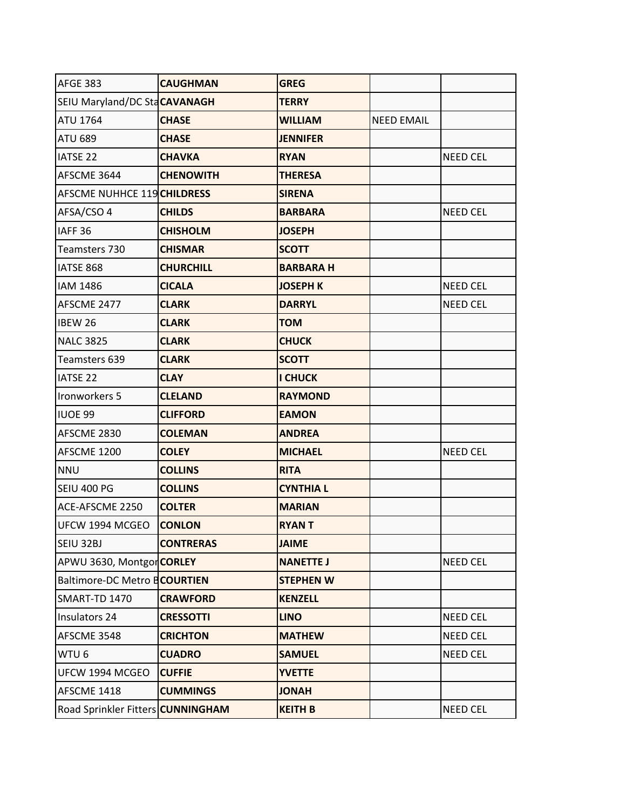| <b>AFGE 383</b>                     | <b>CAUGHMAN</b>  | <b>GREG</b>      |                   |                 |
|-------------------------------------|------------------|------------------|-------------------|-----------------|
| SEIU Maryland/DC StaCAVANAGH        |                  | <b>TERRY</b>     |                   |                 |
| <b>ATU 1764</b>                     | <b>CHASE</b>     | <b>WILLIAM</b>   | <b>NEED EMAIL</b> |                 |
| <b>ATU 689</b>                      | <b>CHASE</b>     | <b>JENNIFER</b>  |                   |                 |
| <b>IATSE 22</b>                     | <b>CHAVKA</b>    | <b>RYAN</b>      |                   | <b>NEED CEL</b> |
| AFSCME 3644                         | <b>CHENOWITH</b> | <b>THERESA</b>   |                   |                 |
| AFSCME NUHHCE 119 CHILDRESS         |                  | <b>SIRENA</b>    |                   |                 |
| AFSA/CSO 4                          | <b>CHILDS</b>    | <b>BARBARA</b>   |                   | <b>NEED CEL</b> |
| IAFF <sub>36</sub>                  | <b>CHISHOLM</b>  | <b>JOSEPH</b>    |                   |                 |
| Teamsters 730                       | <b>CHISMAR</b>   | <b>SCOTT</b>     |                   |                 |
| IATSE 868                           | <b>CHURCHILL</b> | <b>BARBARAH</b>  |                   |                 |
| <b>IAM 1486</b>                     | <b>CICALA</b>    | <b>JOSEPH K</b>  |                   | <b>NEED CEL</b> |
| AFSCME 2477                         | <b>CLARK</b>     | <b>DARRYL</b>    |                   | <b>NEED CEL</b> |
| <b>IBEW 26</b>                      | <b>CLARK</b>     | <b>TOM</b>       |                   |                 |
| <b>NALC 3825</b>                    | <b>CLARK</b>     | <b>CHUCK</b>     |                   |                 |
| Teamsters 639                       | <b>CLARK</b>     | <b>SCOTT</b>     |                   |                 |
| <b>IATSE 22</b>                     | <b>CLAY</b>      | <b>I CHUCK</b>   |                   |                 |
| Ironworkers 5                       | <b>CLELAND</b>   | <b>RAYMOND</b>   |                   |                 |
| <b>IUOE 99</b>                      | <b>CLIFFORD</b>  | <b>EAMON</b>     |                   |                 |
| AFSCME 2830                         | <b>COLEMAN</b>   | <b>ANDREA</b>    |                   |                 |
| AFSCME 1200                         | <b>COLEY</b>     | <b>MICHAEL</b>   |                   | <b>NEED CEL</b> |
| <b>NNU</b>                          | <b>COLLINS</b>   | <b>RITA</b>      |                   |                 |
| SEIU 400 PG                         | <b>COLLINS</b>   | <b>CYNTHIA L</b> |                   |                 |
| ACE-AFSCME 2250                     | <b>COLTER</b>    | <b>MARIAN</b>    |                   |                 |
| UFCW 1994 MCGEO                     | <b>CONLON</b>    | <b>RYANT</b>     |                   |                 |
| SEIU 32BJ                           | <b>CONTRERAS</b> | <b>JAIME</b>     |                   |                 |
| APWU 3630, MontgorCORLEY            |                  | <b>NANETTE J</b> |                   | <b>NEED CEL</b> |
| <b>Baltimore-DC Metro BCOURTIEN</b> |                  | <b>STEPHEN W</b> |                   |                 |
| SMART-TD 1470                       | <b>CRAWFORD</b>  | <b>KENZELL</b>   |                   |                 |
| Insulators 24                       | <b>CRESSOTTI</b> | <b>LINO</b>      |                   | <b>NEED CEL</b> |
| AFSCME 3548                         | <b>CRICHTON</b>  | <b>MATHEW</b>    |                   | <b>NEED CEL</b> |
| WTU <sub>6</sub>                    | <b>CUADRO</b>    | <b>SAMUEL</b>    |                   | <b>NEED CEL</b> |
| UFCW 1994 MCGEO                     | <b>CUFFIE</b>    | <b>YVETTE</b>    |                   |                 |
| AFSCME 1418                         | <b>CUMMINGS</b>  | <b>JONAH</b>     |                   |                 |
| Road Sprinkler Fitters CUNNINGHAM   |                  | <b>KEITH B</b>   |                   | <b>NEED CEL</b> |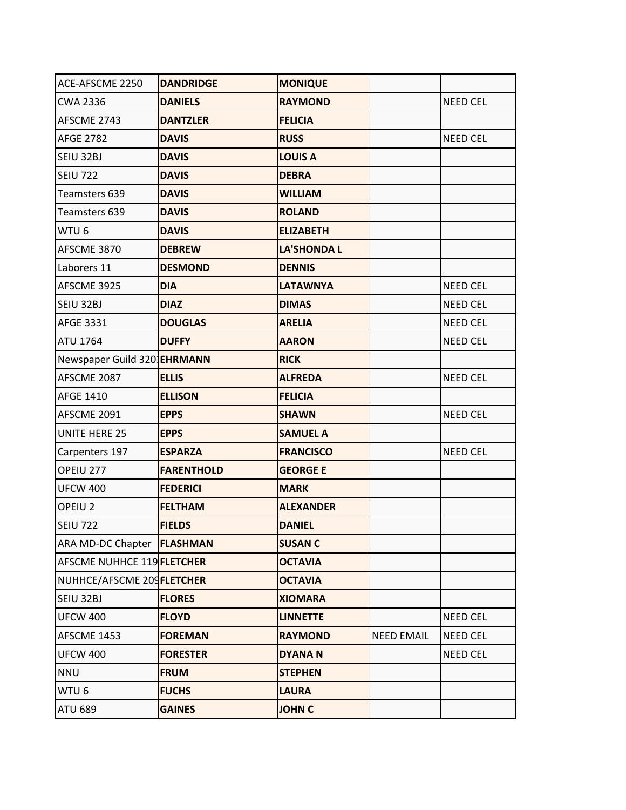| ACE-AFSCME 2250                   | <b>DANDRIDGE</b>  | <b>MONIQUE</b>     |                   |                 |
|-----------------------------------|-------------------|--------------------|-------------------|-----------------|
| <b>CWA 2336</b>                   | <b>DANIELS</b>    | <b>RAYMOND</b>     |                   | <b>NEED CEL</b> |
| AFSCME 2743                       | <b>DANTZLER</b>   | <b>FELICIA</b>     |                   |                 |
| <b>AFGE 2782</b>                  | <b>DAVIS</b>      | <b>RUSS</b>        |                   | <b>NEED CEL</b> |
| SEIU 32BJ                         | <b>DAVIS</b>      | <b>LOUIS A</b>     |                   |                 |
| <b>SEIU 722</b>                   | <b>DAVIS</b>      | <b>DEBRA</b>       |                   |                 |
| Teamsters 639                     | <b>DAVIS</b>      | <b>WILLIAM</b>     |                   |                 |
| Teamsters 639                     | <b>DAVIS</b>      | <b>ROLAND</b>      |                   |                 |
| WTU <sub>6</sub>                  | <b>DAVIS</b>      | <b>ELIZABETH</b>   |                   |                 |
| AFSCME 3870                       | <b>DEBREW</b>     | <b>LA'SHONDA L</b> |                   |                 |
| Laborers 11                       | <b>DESMOND</b>    | <b>DENNIS</b>      |                   |                 |
| AFSCME 3925                       | <b>DIA</b>        | <b>LATAWNYA</b>    |                   | <b>NEED CEL</b> |
| SEIU 32BJ                         | <b>DIAZ</b>       | <b>DIMAS</b>       |                   | <b>NEED CEL</b> |
| <b>AFGE 3331</b>                  | <b>DOUGLAS</b>    | <b>ARELIA</b>      |                   | <b>NEED CEL</b> |
| <b>ATU 1764</b>                   | <b>DUFFY</b>      | <b>AARON</b>       |                   | <b>NEED CEL</b> |
| Newspaper Guild 320 EHRMANN       |                   | <b>RICK</b>        |                   |                 |
| AFSCME 2087                       | <b>ELLIS</b>      | <b>ALFREDA</b>     |                   | <b>NEED CEL</b> |
| <b>AFGE 1410</b>                  | <b>ELLISON</b>    | <b>FELICIA</b>     |                   |                 |
| AFSCME 2091                       | <b>EPPS</b>       | <b>SHAWN</b>       |                   | <b>NEED CEL</b> |
| <b>UNITE HERE 25</b>              | <b>EPPS</b>       | <b>SAMUEL A</b>    |                   |                 |
| Carpenters 197                    | <b>ESPARZA</b>    | <b>FRANCISCO</b>   |                   | <b>NEED CEL</b> |
| OPEIU 277                         | <b>FARENTHOLD</b> | <b>GEORGE E</b>    |                   |                 |
| <b>UFCW 400</b>                   | <b>FEDERICI</b>   | <b>MARK</b>        |                   |                 |
| OPEIU <sub>2</sub>                | <b>FELTHAM</b>    | <b>ALEXANDER</b>   |                   |                 |
| <b>SEIU 722</b>                   | <b>FIELDS</b>     | <b>DANIEL</b>      |                   |                 |
| ARA MD-DC Chapter <b>FLASHMAN</b> |                   | <b>SUSAN C</b>     |                   |                 |
| AFSCME NUHHCE 119 FLETCHER        |                   | <b>OCTAVIA</b>     |                   |                 |
| NUHHCE/AFSCME 209FLETCHER         |                   | <b>OCTAVIA</b>     |                   |                 |
| SEIU 32BJ                         | <b>FLORES</b>     | <b>XIOMARA</b>     |                   |                 |
| <b>UFCW 400</b>                   | <b>FLOYD</b>      | <b>LINNETTE</b>    |                   | NEED CEL        |
| AFSCME 1453                       | <b>FOREMAN</b>    | <b>RAYMOND</b>     | <b>NEED EMAIL</b> | <b>NEED CEL</b> |
| <b>UFCW 400</b>                   | <b>FORESTER</b>   | <b>DYANAN</b>      |                   | <b>NEED CEL</b> |
| <b>NNU</b>                        | <b>FRUM</b>       | <b>STEPHEN</b>     |                   |                 |
| WTU 6                             | <b>FUCHS</b>      | <b>LAURA</b>       |                   |                 |
| <b>ATU 689</b>                    | <b>GAINES</b>     | <b>JOHN C</b>      |                   |                 |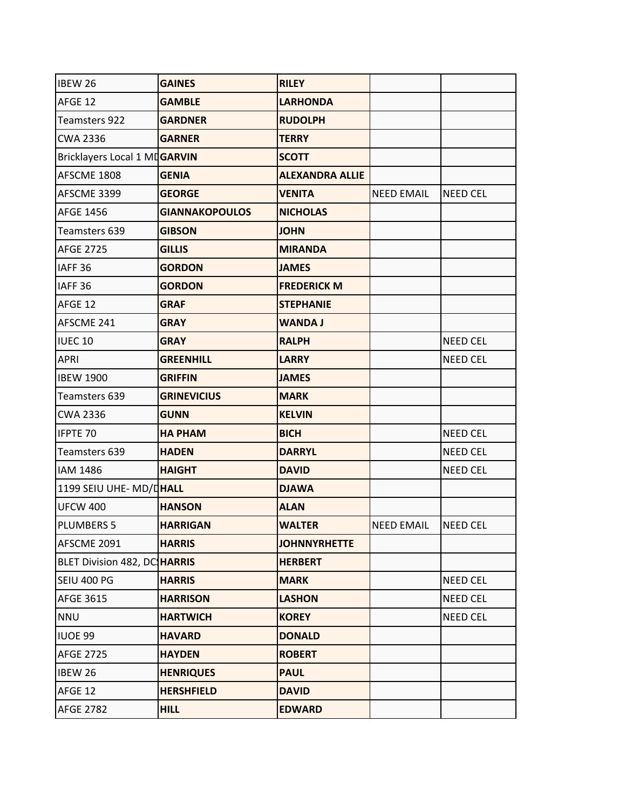| IBEW 26                             | <b>GAINES</b>         | <b>RILEY</b>           |                   |                 |
|-------------------------------------|-----------------------|------------------------|-------------------|-----------------|
| AFGE 12                             | <b>GAMBLE</b>         | <b>LARHONDA</b>        |                   |                 |
| Teamsters 922                       | <b>GARDNER</b>        | <b>RUDOLPH</b>         |                   |                 |
| <b>CWA 2336</b>                     | <b>GARNER</b>         | <b>TERRY</b>           |                   |                 |
| Bricklayers Local 1 MDGARVIN        |                       | <b>SCOTT</b>           |                   |                 |
| AFSCME 1808                         | <b>GENIA</b>          | <b>ALEXANDRA ALLIE</b> |                   |                 |
| AFSCME 3399                         | <b>GEORGE</b>         | <b>VENITA</b>          | <b>NEED EMAIL</b> | <b>NEED CEL</b> |
| <b>AFGE 1456</b>                    | <b>GIANNAKOPOULOS</b> | <b>NICHOLAS</b>        |                   |                 |
| Teamsters 639                       | <b>GIBSON</b>         | <b>JOHN</b>            |                   |                 |
| <b>AFGE 2725</b>                    | <b>GILLIS</b>         | <b>MIRANDA</b>         |                   |                 |
| IAFF <sub>36</sub>                  | <b>GORDON</b>         | <b>JAMES</b>           |                   |                 |
| IAFF <sub>36</sub>                  | <b>GORDON</b>         | <b>FREDERICK M</b>     |                   |                 |
| AFGE 12                             | <b>GRAF</b>           | <b>STEPHANIE</b>       |                   |                 |
| AFSCME 241                          | <b>GRAY</b>           | <b>WANDA J</b>         |                   |                 |
| <b>IUEC 10</b>                      | <b>GRAY</b>           | <b>RALPH</b>           |                   | <b>NEED CEL</b> |
| <b>APRI</b>                         | <b>GREENHILL</b>      | <b>LARRY</b>           |                   | <b>NEED CEL</b> |
| <b>IBEW 1900</b>                    | <b>GRIFFIN</b>        | <b>JAMES</b>           |                   |                 |
| Teamsters 639                       | <b>GRINEVICIUS</b>    | <b>MARK</b>            |                   |                 |
| <b>CWA 2336</b>                     | <b>GUNN</b>           | <b>KELVIN</b>          |                   |                 |
| IFPTE 70                            | <b>HA PHAM</b>        | <b>BICH</b>            |                   | <b>NEED CEL</b> |
| Teamsters 639                       | <b>HADEN</b>          | <b>DARRYL</b>          |                   | <b>NEED CEL</b> |
| <b>IAM 1486</b>                     | <b>HAIGHT</b>         | <b>DAVID</b>           |                   | <b>NEED CEL</b> |
| 1199 SEIU UHE- MD/DHALL             |                       | <b>DJAWA</b>           |                   |                 |
| <b>UFCW 400</b>                     | <b>HANSON</b>         | <b>ALAN</b>            |                   |                 |
| <b>PLUMBERS 5</b>                   | <b>HARRIGAN</b>       | <b>WALTER</b>          | <b>NEED EMAIL</b> | <b>NEED CEL</b> |
| AFSCME 2091                         | <b>HARRIS</b>         | <b>JOHNNYRHETTE</b>    |                   |                 |
| <b>BLET Division 482, DC HARRIS</b> |                       | <b>HERBERT</b>         |                   |                 |
| SEIU 400 PG                         | <b>HARRIS</b>         | <b>MARK</b>            |                   | NEED CEL        |
| AFGE 3615                           | <b>HARRISON</b>       | <b>LASHON</b>          |                   | NEED CEL        |
| <b>NNU</b>                          | <b>HARTWICH</b>       | <b>KOREY</b>           |                   | NEED CEL        |
| IUOE 99                             | <b>HAVARD</b>         | <b>DONALD</b>          |                   |                 |
| <b>AFGE 2725</b>                    | <b>HAYDEN</b>         | <b>ROBERT</b>          |                   |                 |
| <b>IBEW 26</b>                      | <b>HENRIQUES</b>      | <b>PAUL</b>            |                   |                 |
| AFGE 12                             | <b>HERSHFIELD</b>     | <b>DAVID</b>           |                   |                 |
| <b>AFGE 2782</b>                    | <b>HILL</b>           | <b>EDWARD</b>          |                   |                 |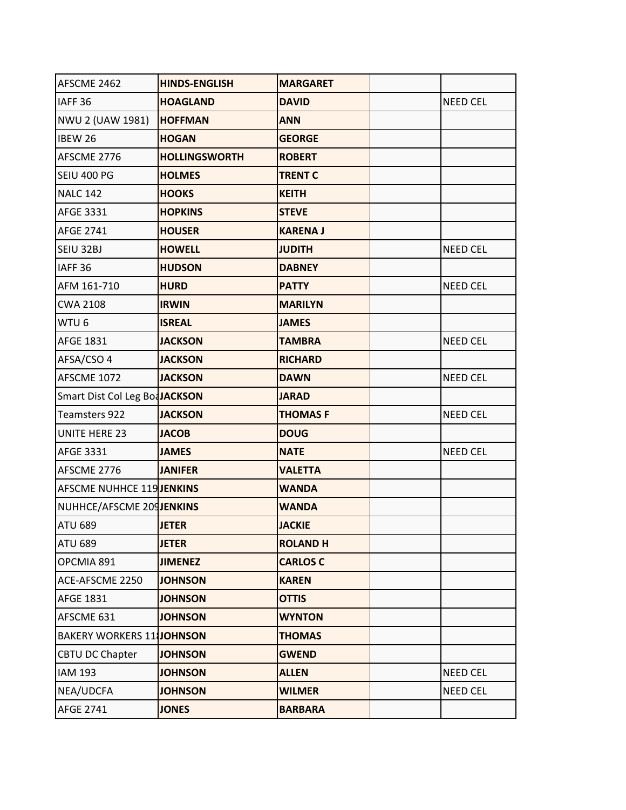| AFSCME 2462                      | <b>HINDS-ENGLISH</b> | <b>MARGARET</b> |                 |
|----------------------------------|----------------------|-----------------|-----------------|
| IAFF <sub>36</sub>               | <b>HOAGLAND</b>      | <b>DAVID</b>    | <b>NEED CEL</b> |
| NWU 2 (UAW 1981)                 | <b>HOFFMAN</b>       | <b>ANN</b>      |                 |
| <b>IBEW 26</b>                   | <b>HOGAN</b>         | <b>GEORGE</b>   |                 |
| AFSCME 2776                      | <b>HOLLINGSWORTH</b> | <b>ROBERT</b>   |                 |
| <b>SEIU 400 PG</b>               | <b>HOLMES</b>        | <b>TRENT C</b>  |                 |
| <b>NALC 142</b>                  | <b>HOOKS</b>         | <b>KEITH</b>    |                 |
| AFGE 3331                        | <b>HOPKINS</b>       | <b>STEVE</b>    |                 |
| <b>AFGE 2741</b>                 | <b>HOUSER</b>        | <b>KARENA J</b> |                 |
| SEIU 32BJ                        | <b>HOWELL</b>        | <b>JUDITH</b>   | <b>NEED CEL</b> |
| IAFF <sub>36</sub>               | <b>HUDSON</b>        | <b>DABNEY</b>   |                 |
| AFM 161-710                      | <b>HURD</b>          | <b>PATTY</b>    | <b>NEED CEL</b> |
| <b>CWA 2108</b>                  | <b>IRWIN</b>         | <b>MARILYN</b>  |                 |
| WTU <sub>6</sub>                 | <b>ISREAL</b>        | <b>JAMES</b>    |                 |
| <b>AFGE 1831</b>                 | <b>JACKSON</b>       | <b>TAMBRA</b>   | <b>NEED CEL</b> |
| AFSA/CSO 4                       | <b>JACKSON</b>       | <b>RICHARD</b>  |                 |
| AFSCME 1072                      | <b>JACKSON</b>       | <b>DAWN</b>     | <b>NEED CEL</b> |
| Smart Dist Col Leg BoaJACKSON    |                      | <b>JARAD</b>    |                 |
| Teamsters 922                    | <b>JACKSON</b>       | <b>THOMASF</b>  | <b>NEED CEL</b> |
| <b>UNITE HERE 23</b>             | <b>JACOB</b>         | <b>DOUG</b>     |                 |
| AFGE 3331                        | <b>JAMES</b>         | <b>NATE</b>     | <b>NEED CEL</b> |
| AFSCME 2776                      | <b>JANIFER</b>       | <b>VALETTA</b>  |                 |
| <b>AFSCME NUHHCE 119 JENKINS</b> |                      | <b>WANDA</b>    |                 |
| NUHHCE/AFSCME 209JENKINS         |                      | <b>WANDA</b>    |                 |
| <b>ATU 689</b>                   | <b>JETER</b>         | <b>JACKIE</b>   |                 |
| <b>ATU 689</b>                   | <b>JETER</b>         | <b>ROLAND H</b> |                 |
| OPCMIA 891                       | <b>JIMENEZ</b>       | <b>CARLOS C</b> |                 |
| ACE-AFSCME 2250                  | <b>JOHNSON</b>       | <b>KAREN</b>    |                 |
| <b>AFGE 1831</b>                 | <b>JOHNSON</b>       | <b>OTTIS</b>    |                 |
| AFSCME 631                       | <b>JOHNSON</b>       | <b>WYNTON</b>   |                 |
| <b>BAKERY WORKERS 11 JOHNSON</b> |                      | <b>THOMAS</b>   |                 |
| <b>CBTU DC Chapter</b>           | <b>JOHNSON</b>       | <b>GWEND</b>    |                 |
| <b>IAM 193</b>                   | <b>JOHNSON</b>       | <b>ALLEN</b>    | NEED CEL        |
| NEA/UDCFA                        | <b>JOHNSON</b>       | <b>WILMER</b>   | NEED CEL        |
| <b>AFGE 2741</b>                 | <b>JONES</b>         | <b>BARBARA</b>  |                 |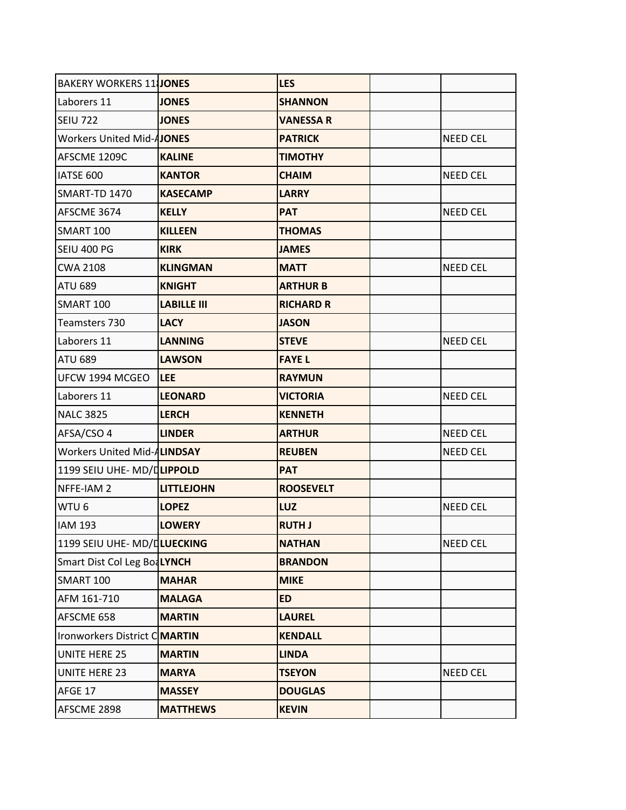| <b>BAKERY WORKERS 11 JONES</b>   |                    | <b>LES</b>       |                 |
|----------------------------------|--------------------|------------------|-----------------|
| Laborers 11                      | <b>JONES</b>       | <b>SHANNON</b>   |                 |
| <b>SEIU 722</b>                  | <b>JONES</b>       | <b>VANESSA R</b> |                 |
| <b>Workers United Mid-AJONES</b> |                    | <b>PATRICK</b>   | <b>NEED CEL</b> |
| AFSCME 1209C                     | <b>KALINE</b>      | <b>TIMOTHY</b>   |                 |
| IATSE 600                        | <b>KANTOR</b>      | <b>CHAIM</b>     | <b>NEED CEL</b> |
| SMART-TD 1470                    | <b>KASECAMP</b>    | <b>LARRY</b>     |                 |
| AFSCME 3674                      | <b>KELLY</b>       | <b>PAT</b>       | <b>NEED CEL</b> |
| SMART 100                        | <b>KILLEEN</b>     | <b>THOMAS</b>    |                 |
| <b>SEIU 400 PG</b>               | <b>KIRK</b>        | <b>JAMES</b>     |                 |
| <b>CWA 2108</b>                  | <b>KLINGMAN</b>    | <b>MATT</b>      | <b>NEED CEL</b> |
| <b>ATU 689</b>                   | <b>KNIGHT</b>      | <b>ARTHUR B</b>  |                 |
| <b>SMART 100</b>                 | <b>LABILLE III</b> | <b>RICHARD R</b> |                 |
| Teamsters 730                    | <b>LACY</b>        | <b>JASON</b>     |                 |
| Laborers 11                      | <b>LANNING</b>     | <b>STEVE</b>     | <b>NEED CEL</b> |
| <b>ATU 689</b>                   | <b>LAWSON</b>      | <b>FAYEL</b>     |                 |
| UFCW 1994 MCGEO                  | <b>ILEE</b>        | <b>RAYMUN</b>    |                 |
| Laborers 11                      | <b>LEONARD</b>     | <b>VICTORIA</b>  | <b>NEED CEL</b> |
| <b>NALC 3825</b>                 | <b>LERCH</b>       | <b>KENNETH</b>   |                 |
| AFSA/CSO 4                       | <b>LINDER</b>      | <b>ARTHUR</b>    | <b>NEED CEL</b> |
| Workers United Mid-ALINDSAY      |                    | <b>REUBEN</b>    | <b>NEED CEL</b> |
| 1199 SEIU UHE- MD/DLIPPOLD       |                    | <b>PAT</b>       |                 |
| NFFE-IAM 2                       | <b>LITTLEJOHN</b>  | <b>ROOSEVELT</b> |                 |
| WTU <sub>6</sub>                 | <b>LOPEZ</b>       | LUZ              | <b>NEED CEL</b> |
| <b>IAM 193</b>                   | <b>LOWERY</b>      | <b>RUTH J</b>    |                 |
| 1199 SEIU UHE- MD/DLUECKING      |                    | <b>NATHAN</b>    | <b>NEED CEL</b> |
| Smart Dist Col Leg BoaLYNCH      |                    | <b>BRANDON</b>   |                 |
| SMART 100                        | <b>MAHAR</b>       | <b>MIKE</b>      |                 |
| AFM 161-710                      | <b>MALAGA</b>      | <b>ED</b>        |                 |
| AFSCME 658                       | <b>MARTIN</b>      | <b>LAUREL</b>    |                 |
| Ironworkers District CMARTIN     |                    | <b>KENDALL</b>   |                 |
| <b>UNITE HERE 25</b>             | <b>MARTIN</b>      | <b>LINDA</b>     |                 |
| <b>UNITE HERE 23</b>             | <b>MARYA</b>       | <b>TSEYON</b>    | <b>NEED CEL</b> |
| AFGE 17                          | <b>MASSEY</b>      | <b>DOUGLAS</b>   |                 |
| AFSCME 2898                      | <b>MATTHEWS</b>    | <b>KEVIN</b>     |                 |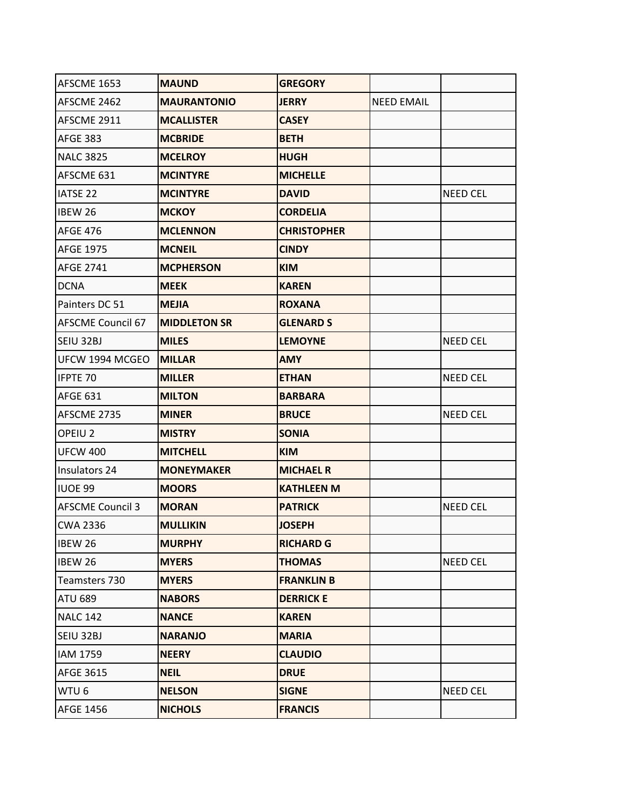| AFSCME 1653              | <b>MAUND</b>        | <b>GREGORY</b>     |                   |                 |
|--------------------------|---------------------|--------------------|-------------------|-----------------|
| AFSCME 2462              | <b>MAURANTONIO</b>  | <b>JERRY</b>       | <b>NEED EMAIL</b> |                 |
| AFSCME 2911              | <b>MCALLISTER</b>   | <b>CASEY</b>       |                   |                 |
| <b>AFGE 383</b>          | <b>MCBRIDE</b>      | <b>BETH</b>        |                   |                 |
| <b>NALC 3825</b>         | <b>MCELROY</b>      | <b>HUGH</b>        |                   |                 |
| AFSCME 631               | <b>MCINTYRE</b>     | <b>MICHELLE</b>    |                   |                 |
| <b>IATSE 22</b>          | <b>MCINTYRE</b>     | <b>DAVID</b>       |                   | <b>NEED CEL</b> |
| <b>IBEW 26</b>           | <b>MCKOY</b>        | <b>CORDELIA</b>    |                   |                 |
| <b>AFGE 476</b>          | <b>MCLENNON</b>     | <b>CHRISTOPHER</b> |                   |                 |
| <b>AFGE 1975</b>         | <b>MCNEIL</b>       | <b>CINDY</b>       |                   |                 |
| <b>AFGE 2741</b>         | <b>MCPHERSON</b>    | <b>KIM</b>         |                   |                 |
| <b>DCNA</b>              | <b>MEEK</b>         | <b>KAREN</b>       |                   |                 |
| Painters DC 51           | <b>MEJIA</b>        | <b>ROXANA</b>      |                   |                 |
| <b>AFSCME Council 67</b> | <b>MIDDLETON SR</b> | <b>GLENARD S</b>   |                   |                 |
| SEIU 32BJ                | <b>MILES</b>        | <b>LEMOYNE</b>     |                   | <b>NEED CEL</b> |
| UFCW 1994 MCGEO          | <b>MILLAR</b>       | <b>AMY</b>         |                   |                 |
| IFPTE 70                 | <b>MILLER</b>       | <b>ETHAN</b>       |                   | <b>NEED CEL</b> |
| <b>AFGE 631</b>          | <b>MILTON</b>       | <b>BARBARA</b>     |                   |                 |
| AFSCME 2735              | <b>MINER</b>        | <b>BRUCE</b>       |                   | <b>NEED CEL</b> |
| OPEIU <sub>2</sub>       | <b>MISTRY</b>       | <b>SONIA</b>       |                   |                 |
| <b>UFCW 400</b>          | <b>MITCHELL</b>     | <b>KIM</b>         |                   |                 |
| Insulators 24            | <b>MONEYMAKER</b>   | <b>MICHAEL R</b>   |                   |                 |
| <b>IUOE 99</b>           | <b>MOORS</b>        | <b>KATHLEEN M</b>  |                   |                 |
| <b>AFSCME Council 3</b>  | <b>MORAN</b>        | <b>PATRICK</b>     |                   | <b>NEED CEL</b> |
| <b>CWA 2336</b>          | <b>MULLIKIN</b>     | <b>JOSEPH</b>      |                   |                 |
| IBEW 26                  | <b>MURPHY</b>       | <b>RICHARD G</b>   |                   |                 |
| <b>IBEW 26</b>           | <b>MYERS</b>        | <b>THOMAS</b>      |                   | <b>NEED CEL</b> |
| Teamsters 730            | <b>MYERS</b>        | <b>FRANKLIN B</b>  |                   |                 |
| <b>ATU 689</b>           | <b>NABORS</b>       | <b>DERRICK E</b>   |                   |                 |
| <b>NALC 142</b>          | <b>NANCE</b>        | <b>KAREN</b>       |                   |                 |
| SEIU 32BJ                | <b>NARANJO</b>      | <b>MARIA</b>       |                   |                 |
| IAM 1759                 | <b>NEERY</b>        | <b>CLAUDIO</b>     |                   |                 |
| AFGE 3615                | <b>NEIL</b>         | <b>DRUE</b>        |                   |                 |
| WTU <sub>6</sub>         | <b>NELSON</b>       | <b>SIGNE</b>       |                   | <b>NEED CEL</b> |
| <b>AFGE 1456</b>         | <b>NICHOLS</b>      | <b>FRANCIS</b>     |                   |                 |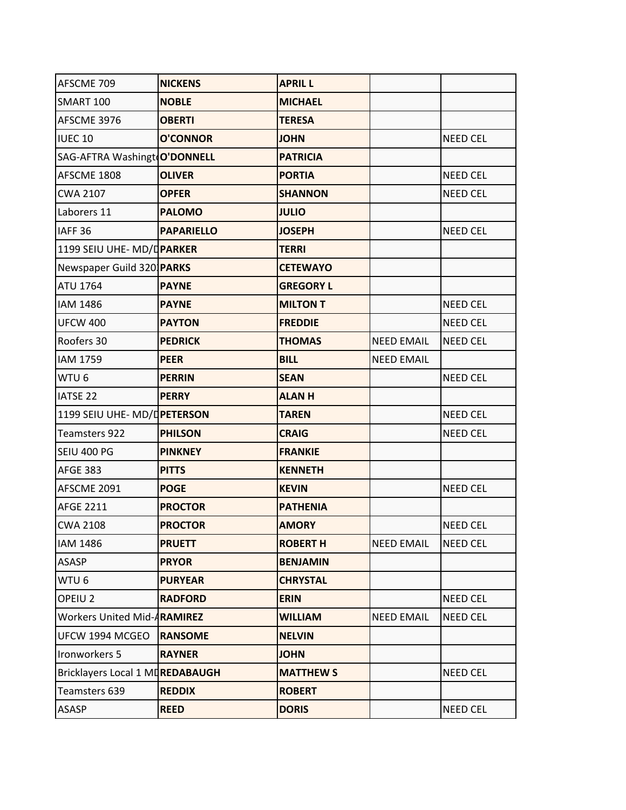| AFSCME 709                       | <b>NICKENS</b>    | <b>APRIL L</b>   |                   |                 |
|----------------------------------|-------------------|------------------|-------------------|-----------------|
| <b>SMART 100</b>                 | <b>NOBLE</b>      | <b>MICHAEL</b>   |                   |                 |
| AFSCME 3976                      | <b>OBERTI</b>     | <b>TERESA</b>    |                   |                 |
| <b>IUEC 10</b>                   | <b>O'CONNOR</b>   | <b>JOHN</b>      |                   | <b>NEED CEL</b> |
| SAG-AFTRA Washingt O'DONNELL     |                   | <b>PATRICIA</b>  |                   |                 |
| AFSCME 1808                      | <b>OLIVER</b>     | <b>PORTIA</b>    |                   | <b>NEED CEL</b> |
| <b>CWA 2107</b>                  | <b>OPFER</b>      | <b>SHANNON</b>   |                   | <b>NEED CEL</b> |
| Laborers 11                      | <b>PALOMO</b>     | <b>JULIO</b>     |                   |                 |
| IAFF <sub>36</sub>               | <b>PAPARIELLO</b> | <b>JOSEPH</b>    |                   | <b>NEED CEL</b> |
| 1199 SEIU UHE- MD/DPARKER        |                   | <b>TERRI</b>     |                   |                 |
| Newspaper Guild 320 <b>PARKS</b> |                   | <b>CETEWAYO</b>  |                   |                 |
| <b>ATU 1764</b>                  | <b>PAYNE</b>      | <b>GREGORY L</b> |                   |                 |
| <b>IAM 1486</b>                  | <b>PAYNE</b>      | <b>MILTON T</b>  |                   | <b>NEED CEL</b> |
| <b>UFCW 400</b>                  | <b>PAYTON</b>     | <b>FREDDIE</b>   |                   | <b>NEED CEL</b> |
| Roofers 30                       | <b>PEDRICK</b>    | <b>THOMAS</b>    | <b>NEED EMAIL</b> | <b>NEED CEL</b> |
| <b>IAM 1759</b>                  | <b>PEER</b>       | <b>BILL</b>      | <b>NEED EMAIL</b> |                 |
| WTU <sub>6</sub>                 | <b>PERRIN</b>     | <b>SEAN</b>      |                   | <b>NEED CEL</b> |
| <b>IATSE 22</b>                  | <b>PERRY</b>      | <b>ALANH</b>     |                   |                 |
| 1199 SEIU UHE- MD/DPETERSON      |                   | <b>TAREN</b>     |                   | <b>NEED CEL</b> |
| Teamsters 922                    | <b>PHILSON</b>    | <b>CRAIG</b>     |                   | <b>NEED CEL</b> |
| SEIU 400 PG                      | <b>PINKNEY</b>    | <b>FRANKIE</b>   |                   |                 |
| <b>AFGE 383</b>                  | <b>PITTS</b>      | <b>KENNETH</b>   |                   |                 |
| AFSCME 2091                      | <b>POGE</b>       | <b>KEVIN</b>     |                   | <b>NEED CEL</b> |
| <b>AFGE 2211</b>                 | <b>PROCTOR</b>    | <b>PATHENIA</b>  |                   |                 |
| <b>CWA 2108</b>                  | <b>PROCTOR</b>    | <b>AMORY</b>     |                   | <b>NEED CEL</b> |
| <b>IAM 1486</b>                  | <b>PRUETT</b>     | <b>ROBERT H</b>  | <b>NEED EMAIL</b> | <b>NEED CEL</b> |
| ASASP                            | <b>PRYOR</b>      | <b>BENJAMIN</b>  |                   |                 |
| WTU 6                            | <b>PURYEAR</b>    | <b>CHRYSTAL</b>  |                   |                 |
| OPEIU <sub>2</sub>               | <b>RADFORD</b>    | <b>ERIN</b>      |                   | <b>NEED CEL</b> |
| Workers United Mid-ARAMIREZ      |                   | <b>WILLIAM</b>   | <b>NEED EMAIL</b> | <b>NEED CEL</b> |
| UFCW 1994 MCGEO                  | <b>RANSOME</b>    | <b>NELVIN</b>    |                   |                 |
| Ironworkers 5                    | <b>RAYNER</b>     | <b>JOHN</b>      |                   |                 |
| Bricklayers Local 1 MDREDABAUGH  |                   | <b>MATTHEW S</b> |                   | <b>NEED CEL</b> |
| Teamsters 639                    | <b>REDDIX</b>     | <b>ROBERT</b>    |                   |                 |
| ASASP                            | <b>REED</b>       | <b>DORIS</b>     |                   | <b>NEED CEL</b> |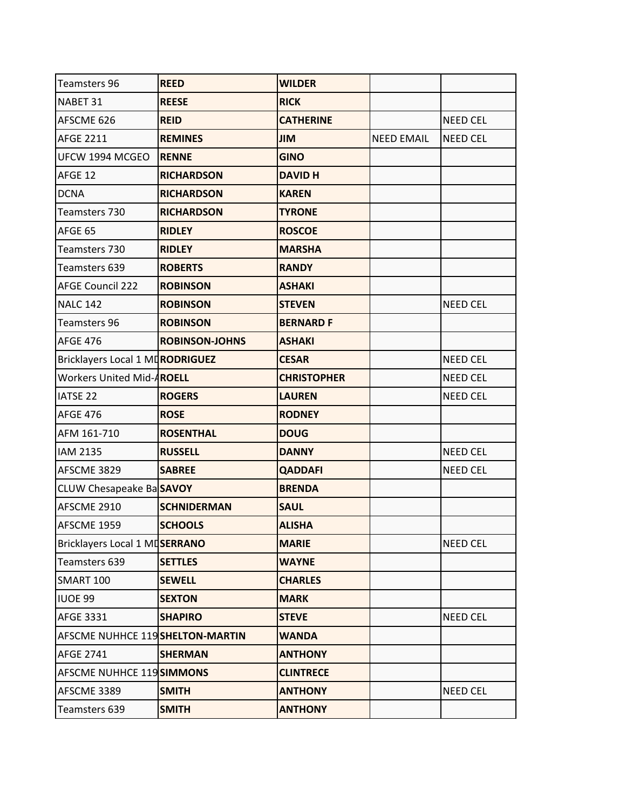| <b>Teamsters 96</b>             | <b>REED</b>           | <b>WILDER</b>      |                   |                 |
|---------------------------------|-----------------------|--------------------|-------------------|-----------------|
| NABET 31                        | <b>REESE</b>          | <b>RICK</b>        |                   |                 |
| AFSCME 626                      | <b>REID</b>           | <b>CATHERINE</b>   |                   | <b>NEED CEL</b> |
| <b>AFGE 2211</b>                | <b>REMINES</b>        | <b>JIM</b>         | <b>NEED EMAIL</b> | <b>NEED CEL</b> |
| UFCW 1994 MCGEO                 | <b>RENNE</b>          | <b>GINO</b>        |                   |                 |
| AFGE 12                         | <b>RICHARDSON</b>     | <b>DAVID H</b>     |                   |                 |
| <b>DCNA</b>                     | <b>RICHARDSON</b>     | <b>KAREN</b>       |                   |                 |
| Teamsters 730                   | <b>RICHARDSON</b>     | <b>TYRONE</b>      |                   |                 |
| AFGE 65                         | <b>RIDLEY</b>         | <b>ROSCOE</b>      |                   |                 |
| Teamsters 730                   | <b>RIDLEY</b>         | <b>MARSHA</b>      |                   |                 |
| Teamsters 639                   | <b>ROBERTS</b>        | <b>RANDY</b>       |                   |                 |
| <b>AFGE Council 222</b>         | <b>ROBINSON</b>       | <b>ASHAKI</b>      |                   |                 |
| <b>NALC 142</b>                 | <b>ROBINSON</b>       | <b>STEVEN</b>      |                   | <b>NEED CEL</b> |
| <b>Teamsters 96</b>             | <b>ROBINSON</b>       | <b>BERNARD F</b>   |                   |                 |
| <b>AFGE 476</b>                 | <b>ROBINSON-JOHNS</b> | <b>ASHAKI</b>      |                   |                 |
| Bricklayers Local 1 MDRODRIGUEZ |                       | <b>CESAR</b>       |                   | <b>NEED CEL</b> |
| Workers United Mid-AROELL       |                       | <b>CHRISTOPHER</b> |                   | <b>NEED CEL</b> |
| <b>IATSE 22</b>                 | <b>ROGERS</b>         | <b>LAUREN</b>      |                   | <b>NEED CEL</b> |
| <b>AFGE 476</b>                 | <b>ROSE</b>           | <b>RODNEY</b>      |                   |                 |
| AFM 161-710                     | <b>ROSENTHAL</b>      | <b>DOUG</b>        |                   |                 |
| <b>IAM 2135</b>                 | <b>RUSSELL</b>        | <b>DANNY</b>       |                   | <b>NEED CEL</b> |
| AFSCME 3829                     | <b>SABREE</b>         | <b>QADDAFI</b>     |                   | <b>NEED CEL</b> |
| CLUW Chesapeake BaSAVOY         |                       | <b>BRENDA</b>      |                   |                 |
| AFSCME 2910                     | <b>SCHNIDERMAN</b>    | <b>SAUL</b>        |                   |                 |
| AFSCME 1959                     | <b>SCHOOLS</b>        | <b>ALISHA</b>      |                   |                 |
| Bricklayers Local 1 MDSERRANO   |                       | <b>MARIE</b>       |                   | <b>NEED CEL</b> |
| Teamsters 639                   | <b>SETTLES</b>        | <b>WAYNE</b>       |                   |                 |
| <b>SMART 100</b>                | <b>SEWELL</b>         | <b>CHARLES</b>     |                   |                 |
| IUOE 99                         | <b>SEXTON</b>         | <b>MARK</b>        |                   |                 |
| AFGE 3331                       | <b>SHAPIRO</b>        | <b>STEVE</b>       |                   | NEED CEL        |
| AFSCME NUHHCE 119SHELTON-MARTIN |                       | <b>WANDA</b>       |                   |                 |
| <b>AFGE 2741</b>                | <b>SHERMAN</b>        | <b>ANTHONY</b>     |                   |                 |
| AFSCME NUHHCE 119 SIMMONS       |                       | <b>CLINTRECE</b>   |                   |                 |
| AFSCME 3389                     | <b>SMITH</b>          | <b>ANTHONY</b>     |                   | NEED CEL        |
| Teamsters 639                   | <b>SMITH</b>          | <b>ANTHONY</b>     |                   |                 |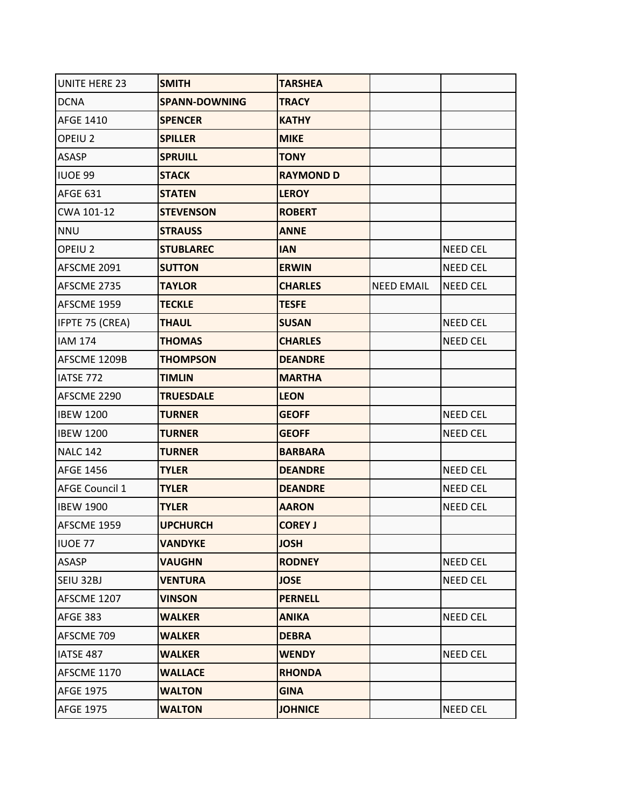| <b>UNITE HERE 23</b>  | <b>SMITH</b>         | <b>TARSHEA</b>   |                   |                 |
|-----------------------|----------------------|------------------|-------------------|-----------------|
| <b>DCNA</b>           | <b>SPANN-DOWNING</b> | <b>TRACY</b>     |                   |                 |
| <b>AFGE 1410</b>      | <b>SPENCER</b>       | <b>KATHY</b>     |                   |                 |
| OPEIU <sub>2</sub>    | <b>SPILLER</b>       | <b>MIKE</b>      |                   |                 |
| <b>ASASP</b>          | <b>SPRUILL</b>       | <b>TONY</b>      |                   |                 |
| <b>IUOE 99</b>        | <b>STACK</b>         | <b>RAYMOND D</b> |                   |                 |
| <b>AFGE 631</b>       | <b>STATEN</b>        | <b>LEROY</b>     |                   |                 |
| CWA 101-12            | <b>STEVENSON</b>     | <b>ROBERT</b>    |                   |                 |
| <b>NNU</b>            | <b>STRAUSS</b>       | <b>ANNE</b>      |                   |                 |
| OPEIU <sub>2</sub>    | <b>STUBLAREC</b>     | <b>IAN</b>       |                   | <b>NEED CEL</b> |
| AFSCME 2091           | <b>SUTTON</b>        | <b>ERWIN</b>     |                   | NEED CEL        |
| AFSCME 2735           | <b>TAYLOR</b>        | <b>CHARLES</b>   | <b>NEED EMAIL</b> | <b>NEED CEL</b> |
| AFSCME 1959           | <b>TECKLE</b>        | <b>TESFE</b>     |                   |                 |
| IFPTE 75 (CREA)       | <b>THAUL</b>         | <b>SUSAN</b>     |                   | <b>NEED CEL</b> |
| <b>IAM 174</b>        | <b>THOMAS</b>        | <b>CHARLES</b>   |                   | <b>NEED CEL</b> |
| AFSCME 1209B          | <b>THOMPSON</b>      | <b>DEANDRE</b>   |                   |                 |
| IATSE 772             | <b>TIMLIN</b>        | <b>MARTHA</b>    |                   |                 |
| AFSCME 2290           | <b>TRUESDALE</b>     | <b>LEON</b>      |                   |                 |
| <b>IBEW 1200</b>      | <b>TURNER</b>        | <b>GEOFF</b>     |                   | <b>NEED CEL</b> |
| <b>IBEW 1200</b>      | <b>TURNER</b>        | <b>GEOFF</b>     |                   | <b>NEED CEL</b> |
| <b>NALC 142</b>       | <b>TURNER</b>        | <b>BARBARA</b>   |                   |                 |
| <b>AFGE 1456</b>      | <b>TYLER</b>         | <b>DEANDRE</b>   |                   | <b>NEED CEL</b> |
| <b>AFGE Council 1</b> | <b>TYLER</b>         | <b>DEANDRE</b>   |                   | <b>NEED CEL</b> |
| <b>IBEW 1900</b>      | <b>TYLER</b>         | <b>AARON</b>     |                   | <b>NEED CEL</b> |
| AFSCME 1959           | <b>UPCHURCH</b>      | <b>COREY J</b>   |                   |                 |
| <b>IUOE 77</b>        | <b>VANDYKE</b>       | <b>JOSH</b>      |                   |                 |
| <b>ASASP</b>          | <b>VAUGHN</b>        | <b>RODNEY</b>    |                   | <b>NEED CEL</b> |
| SEIU 32BJ             | <b>VENTURA</b>       | <b>JOSE</b>      |                   | NEED CEL        |
| AFSCME 1207           | <b>VINSON</b>        | <b>PERNELL</b>   |                   |                 |
| <b>AFGE 383</b>       | <b>WALKER</b>        | <b>ANIKA</b>     |                   | NEED CEL        |
| AFSCME 709            | <b>WALKER</b>        | <b>DEBRA</b>     |                   |                 |
| IATSE 487             | <b>WALKER</b>        | <b>WENDY</b>     |                   | NEED CEL        |
| AFSCME 1170           | <b>WALLACE</b>       | <b>RHONDA</b>    |                   |                 |
| <b>AFGE 1975</b>      | <b>WALTON</b>        | <b>GINA</b>      |                   |                 |
| <b>AFGE 1975</b>      | <b>WALTON</b>        | <b>JOHNICE</b>   |                   | NEED CEL        |